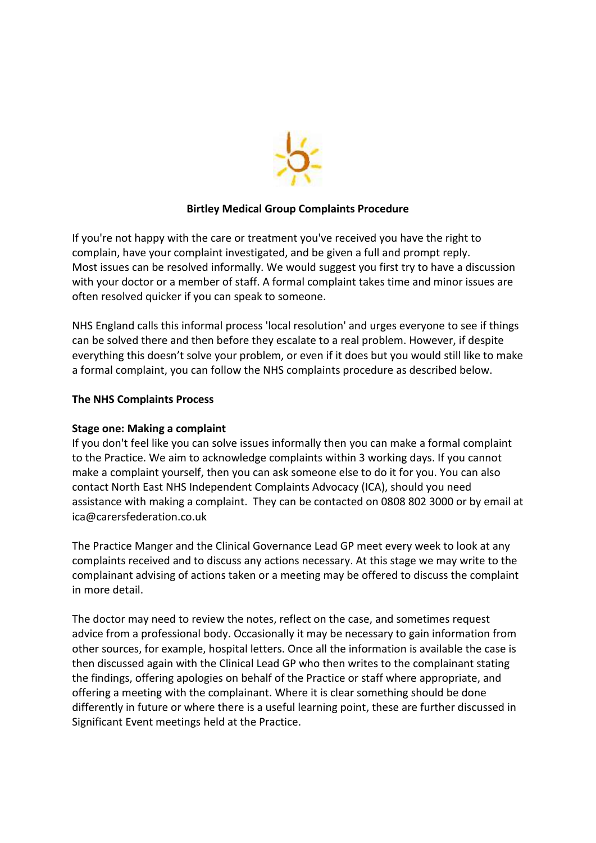

### **Birtley Medical Group Complaints Procedure**

If you're not happy with the care or treatment you've received you have the right to complain, have your complaint investigated, and be given a full and prompt reply. Most issues can be resolved informally. We would suggest you first try to have a discussion with your doctor or a member of staff. A formal complaint takes time and minor issues are often resolved quicker if you can speak to someone.

NHS England calls this informal process 'local resolution' and urges everyone to see if things can be solved there and then before they escalate to a real problem. However, if despite everything this doesn't solve your problem, or even if it does but you would still like to make a formal complaint, you can follow the NHS complaints procedure as described below.

# **The NHS Complaints Process**

### **Stage one: Making a complaint**

If you don't feel like you can solve issues informally then you can make a formal complaint to the Practice. We aim to acknowledge complaints within 3 working days. If you cannot make a complaint yourself, then you can ask someone else to do it for you. You can also contact North East NHS Independent Complaints Advocacy (ICA), should you need assistance with making a complaint. They can be contacted on 0808 802 3000 or by email at [ica@carersfederation.co.uk](mailto:ica@carersfederation.co.uk)

The Practice Manger and the Clinical Governance Lead GP meet every week to look at any complaints received and to discuss any actions necessary. At this stage we may write to the complainant advising of actions taken or a meeting may be offered to discuss the complaint in more detail.

The doctor may need to review the notes, reflect on the case, and sometimes request advice from a professional body. Occasionally it may be necessary to gain information from other sources, for example, hospital letters. Once all the information is available the case is then discussed again with the Clinical Lead GP who then writes to the complainant stating the findings, offering apologies on behalf of the Practice or staff where appropriate, and offering a meeting with the complainant. Where it is clear something should be done differently in future or where there is a useful learning point, these are further discussed in Significant Event meetings held at the Practice.